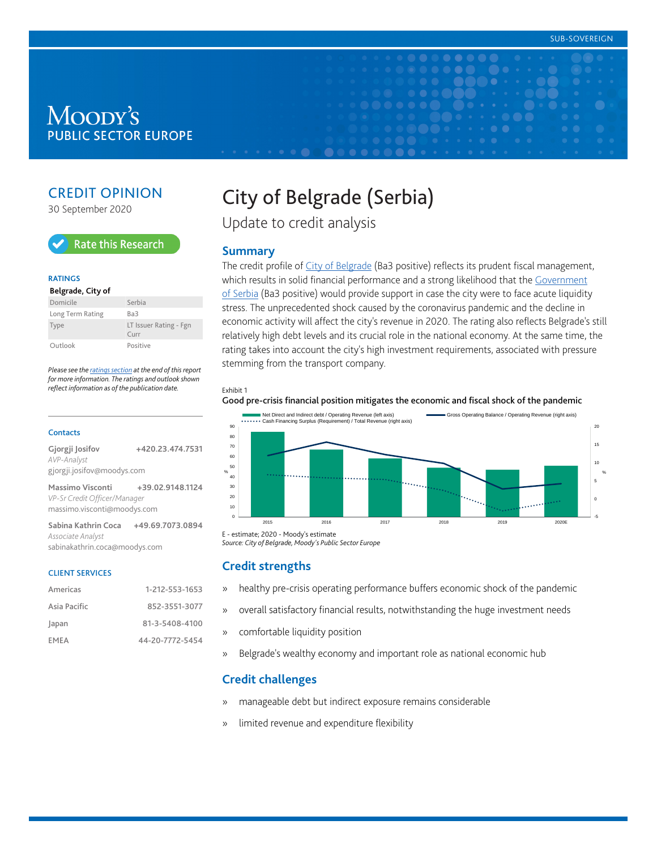# Moody's **PUBLIC SECTOR EUROPE**

# CREDIT OPINION

30 September 2020



#### **RATINGS**

#### **Belgrade, City of** Domicile Serbia Long Term Rating Ba3 Type LT Issuer Rating - Fgn Curr Outlook Positive

*Please see the [ratings section](#page-5-0) at the end of this report for more information. The ratings and outlook shown reflect information as of the publication date.*

#### **Contacts**

| Gjorgji Josifov              | +420.23.474.7531 |
|------------------------------|------------------|
| AVP-Analyst                  |                  |
| gjorgji.josifov@moodys.com   |                  |
| Massimo Visconti             | +39.02.9148.1124 |
|                              |                  |
| VP-Sr Credit Officer/Manager |                  |

**Sabina Kathrin Coca +49.69.7073.0894** *Associate Analyst* sabinakathrin.coca@moodys.com

#### CLIENT SERVICES

| Americas     | 1-212-553-1653  |
|--------------|-----------------|
| Asia Pacific | 852-3551-3077   |
| Japan        | 81-3-5408-4100  |
| EMEA         | 44-20-7772-5454 |

# City of Belgrade (Serbia)

Update to credit analysis

#### **Summary**

The credit profile of [City of Belgrade](https://www.moodys.com/credit-ratings/Belgrade-City-of-credit-rating-825199704) (Ba3 positive) reflects its prudent fiscal management, which results in solid financial performance and a strong likelihood that the [Government](https://www.moodys.com/credit-ratings/Serbia-Government-of-credit-rating-806356953) [of Serbia](https://www.moodys.com/credit-ratings/Serbia-Government-of-credit-rating-806356953) (Ba3 positive) would provide support in case the city were to face acute liquidity stress. The unprecedented shock caused by the coronavirus pandemic and the decline in economic activity will affect the city's revenue in 2020. The rating also reflects Belgrade's still relatively high debt levels and its crucial role in the national economy. At the same time, the rating takes into account the city's high investment requirements, associated with pressure stemming from the transport company.

#### Exhibit 1

#### Good pre-crisis financial position mitigates the economic and fiscal shock of the pandemic



E - estimate; 2020 - Moody's estimate *Source: City of Belgrade, Moody's Public Sector Europe*

#### **Credit strengths**

- » healthy pre-crisis operating performance buffers economic shock of the pandemic
- » overall satisfactory financial results, notwithstanding the huge investment needs
- » comfortable liquidity position
- » Belgrade's wealthy economy and important role as national economic hub

# **Credit challenges**

- » manageable debt but indirect exposure remains considerable
- » limited revenue and expenditure flexibility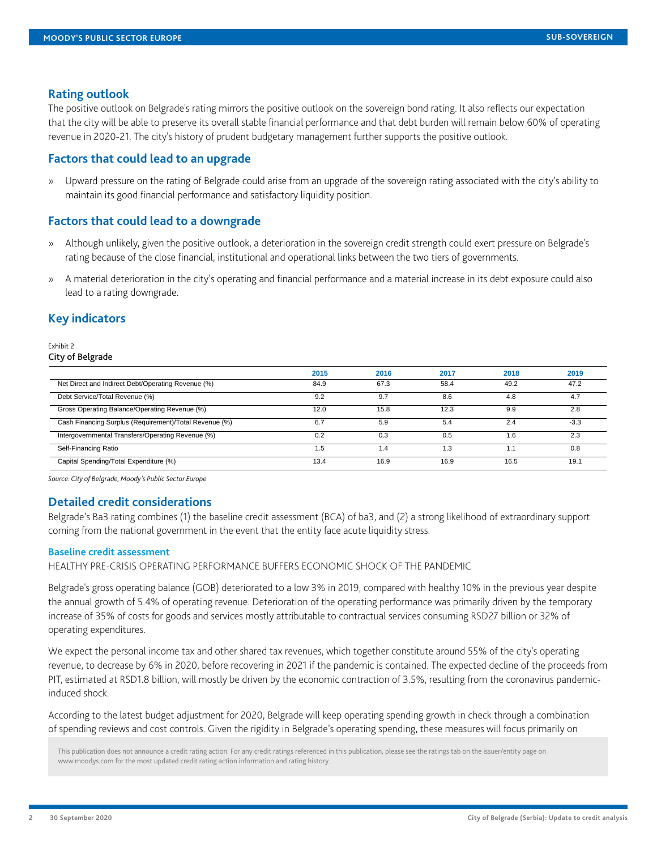#### **Rating outlook**

The positive outlook on Belgrade's rating mirrors the positive outlook on the sovereign bond rating. It also reflects our expectation that the city will be able to preserve its overall stable financial performance and that debt burden will remain below 60% of operating revenue in 2020-21. The city's history of prudent budgetary management further supports the positive outlook.

## **Factors that could lead to an upgrade**

» Upward pressure on the rating of Belgrade could arise from an upgrade of the sovereign rating associated with the city's ability to maintain its good financial performance and satisfactory liquidity position.

# **Factors that could lead to a downgrade**

- » Although unlikely, given the positive outlook, a deterioration in the sovereign credit strength could exert pressure on Belgrade's rating because of the close financial, institutional and operational links between the two tiers of governments.
- » A material deterioration in the city's operating and financial performance and a material increase in its debt exposure could also lead to a rating downgrade.

# **Key indicators**

#### Exhibit 2 City of Belgrade

|                                                        | 2015 | 2016 | 2017 | 2018 | 2019   |
|--------------------------------------------------------|------|------|------|------|--------|
| Net Direct and Indirect Debt/Operating Revenue (%)     | 84.9 | 67.3 | 58.4 | 49.2 | 47.2   |
| Debt Service/Total Revenue (%)                         | 9.2  | 9.7  | 8.6  | 4.8  | 4.7    |
| Gross Operating Balance/Operating Revenue (%)          | 12.0 | 15.8 | 12.3 | 9.9  | 2.8    |
| Cash Financing Surplus (Requirement)/Total Revenue (%) | 6.7  | 5.9  | 5.4  | 2.4  | $-3.3$ |
| Intergovernmental Transfers/Operating Revenue (%)      | 0.2  | 0.3  | 0.5  | 1.6  | 2.3    |
| Self-Financing Ratio                                   | 1.5  | 1.4  | 1.3  | 1.1  | 0.8    |
| Capital Spending/Total Expenditure (%)                 | 13.4 | 16.9 | 16.9 | 16.5 | 19.7   |

*Source: City of Belgrade, Moody's Public Sector Europe*

# **Detailed credit considerations**

Belgrade's Ba3 rating combines (1) the baseline credit assessment (BCA) of ba3, and (2) a strong likelihood of extraordinary support coming from the national government in the event that the entity face acute liquidity stress.

#### **Baseline credit assessment**

HEALTHY PRE-CRISIS OPERATING PERFORMANCE BUFFERS ECONOMIC SHOCK OF THE PANDEMIC

Belgrade's gross operating balance (GOB) deteriorated to a low 3% in 2019, compared with healthy 10% in the previous year despite the annual growth of 5.4% of operating revenue. Deterioration of the operating performance was primarily driven by the temporary increase of 35% of costs for goods and services mostly attributable to contractual services consuming RSD27 billion or 32% of operating expenditures.

We expect the personal income tax and other shared tax revenues, which together constitute around 55% of the city's operating revenue, to decrease by 6% in 2020, before recovering in 2021 if the pandemic is contained. The expected decline of the proceeds from PIT, estimated at RSD1.8 billion, will mostly be driven by the economic contraction of 3.5%, resulting from the coronavirus pandemicinduced shock.

According to the latest budget adjustment for 2020, Belgrade will keep operating spending growth in check through a combination of spending reviews and cost controls. Given the rigidity in Belgrade's operating spending, these measures will focus primarily on

This publication does not announce a credit rating action. For any credit ratings referenced in this publication, please see the ratings tab on the issuer/entity page on www.moodys.com for the most updated credit rating action information and rating history.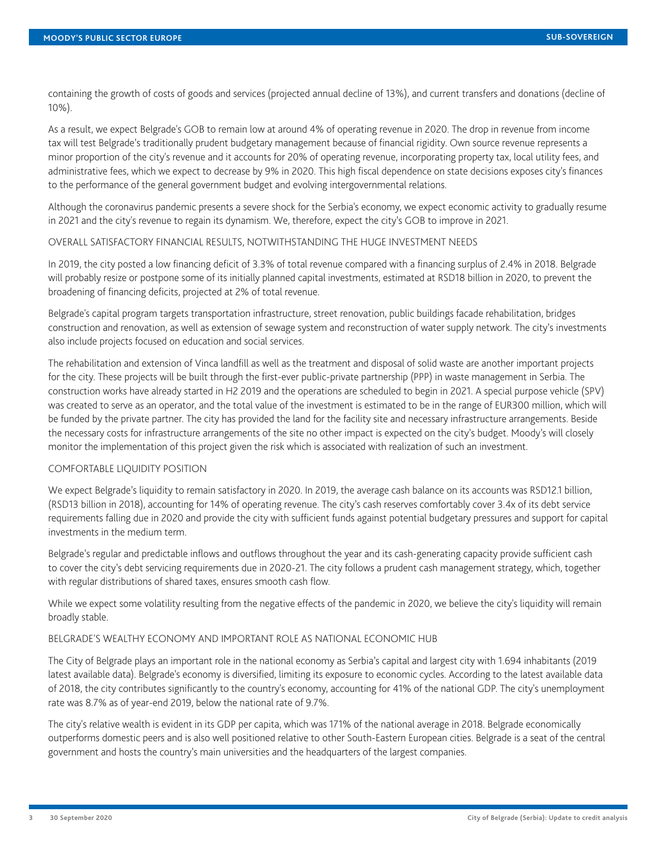containing the growth of costs of goods and services (projected annual decline of 13%), and current transfers and donations (decline of 10%).

As a result, we expect Belgrade's GOB to remain low at around 4% of operating revenue in 2020. The drop in revenue from income tax will test Belgrade's traditionally prudent budgetary management because of financial rigidity. Own source revenue represents a minor proportion of the city's revenue and it accounts for 20% of operating revenue, incorporating property tax, local utility fees, and administrative fees, which we expect to decrease by 9% in 2020. This high fiscal dependence on state decisions exposes city's finances to the performance of the general government budget and evolving intergovernmental relations.

Although the coronavirus pandemic presents a severe shock for the Serbia's economy, we expect economic activity to gradually resume in 2021 and the city's revenue to regain its dynamism. We, therefore, expect the city's GOB to improve in 2021.

# OVERALL SATISFACTORY FINANCIAL RESULTS, NOTWITHSTANDING THE HUGE INVESTMENT NEEDS

In 2019, the city posted a low financing deficit of 3.3% of total revenue compared with a financing surplus of 2.4% in 2018. Belgrade will probably resize or postpone some of its initially planned capital investments, estimated at RSD18 billion in 2020, to prevent the broadening of financing deficits, projected at 2% of total revenue.

Belgrade's capital program targets transportation infrastructure, street renovation, public buildings facade rehabilitation, bridges construction and renovation, as well as extension of sewage system and reconstruction of water supply network. The city's investments also include projects focused on education and social services.

The rehabilitation and extension of Vinca landfill as well as the treatment and disposal of solid waste are another important projects for the city. These projects will be built through the first-ever public-private partnership (PPP) in waste management in Serbia. The construction works have already started in H2 2019 and the operations are scheduled to begin in 2021. A special purpose vehicle (SPV) was created to serve as an operator, and the total value of the investment is estimated to be in the range of EUR300 million, which will be funded by the private partner. The city has provided the land for the facility site and necessary infrastructure arrangements. Beside the necessary costs for infrastructure arrangements of the site no other impact is expected on the city's budget. Moody's will closely monitor the implementation of this project given the risk which is associated with realization of such an investment.

#### COMFORTABLE LIQUIDITY POSITION

We expect Belgrade's liquidity to remain satisfactory in 2020. In 2019, the average cash balance on its accounts was RSD12.1 billion, (RSD13 billion in 2018), accounting for 14% of operating revenue. The city's cash reserves comfortably cover 3.4x of its debt service requirements falling due in 2020 and provide the city with sufficient funds against potential budgetary pressures and support for capital investments in the medium term.

Belgrade's regular and predictable inflows and outflows throughout the year and its cash-generating capacity provide sufficient cash to cover the city's debt servicing requirements due in 2020-21. The city follows a prudent cash management strategy, which, together with regular distributions of shared taxes, ensures smooth cash flow.

While we expect some volatility resulting from the negative effects of the pandemic in 2020, we believe the city's liquidity will remain broadly stable.

#### BELGRADE'S WEALTHY ECONOMY AND IMPORTANT ROLE AS NATIONAL ECONOMIC HUB

The City of Belgrade plays an important role in the national economy as Serbia's capital and largest city with 1.694 inhabitants (2019 latest available data). Belgrade's economy is diversified, limiting its exposure to economic cycles. According to the latest available data of 2018, the city contributes significantly to the country's economy, accounting for 41% of the national GDP. The city's unemployment rate was 8.7% as of year-end 2019, below the national rate of 9.7%.

The city's relative wealth is evident in its GDP per capita, which was 171% of the national average in 2018. Belgrade economically outperforms domestic peers and is also well positioned relative to other South-Eastern European cities. Belgrade is a seat of the central government and hosts the country's main universities and the headquarters of the largest companies.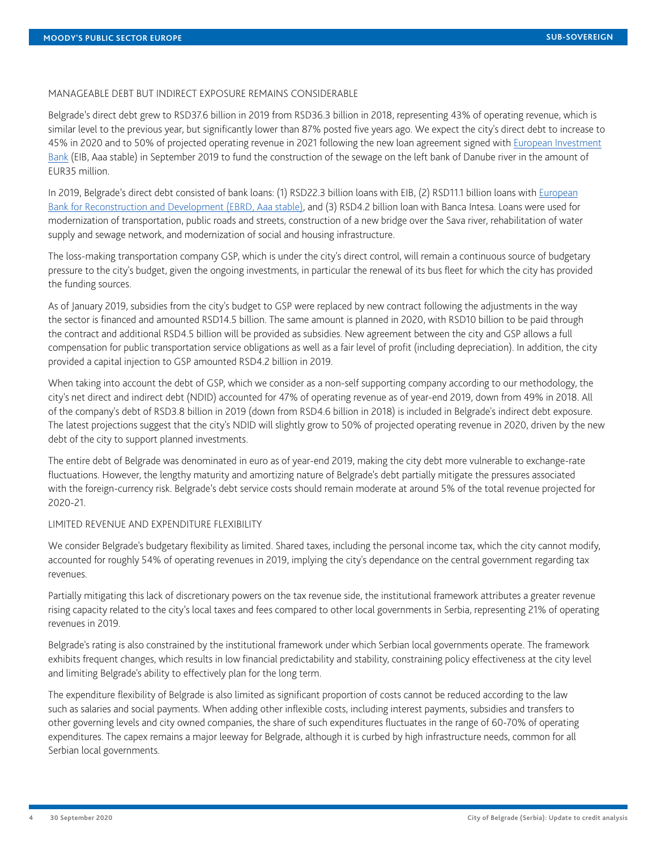#### MANAGEABLE DEBT BUT INDIRECT EXPOSURE REMAINS CONSIDERABLE

Belgrade's direct debt grew to RSD37.6 billion in 2019 from RSD36.3 billion in 2018, representing 43% of operating revenue, which is similar level to the previous year, but significantly lower than 87% posted five years ago. We expect the city's direct debt to increase to 45% in 2020 and to 50% of projected operating revenue in 2021 following the new loan agreement signed with [European Investment](https://www.moodys.com/credit-ratings/European-Investment-Bank-credit-rating-270400) [Bank](https://www.moodys.com/credit-ratings/European-Investment-Bank-credit-rating-270400) (EIB, Aaa stable) in September 2019 to fund the construction of the sewage on the left bank of Danube river in the amount of EUR35 million.

In 2019, Belgrade's direct debt consisted of bank loans: (1) RSD22.3 billion loans with EIB, (2) RSD11.1 billion loans with [European](https://www.moodys.com/credit-ratings/European-Bank-for-Reconstruction-Devlpmnt-credit-rating-19620) [Bank for Reconstruction and Development \(EBRD, Aaa stable\)](https://www.moodys.com/credit-ratings/European-Bank-for-Reconstruction-Devlpmnt-credit-rating-19620), and (3) RSD4.2 billion loan with Banca Intesa. Loans were used for modernization of transportation, public roads and streets, construction of a new bridge over the Sava river, rehabilitation of water supply and sewage network, and modernization of social and housing infrastructure.

The loss-making transportation company GSP, which is under the city's direct control, will remain a continuous source of budgetary pressure to the city's budget, given the ongoing investments, in particular the renewal of its bus fleet for which the city has provided the funding sources.

As of January 2019, subsidies from the city's budget to GSP were replaced by new contract following the adjustments in the way the sector is financed and amounted RSD14.5 billion. The same amount is planned in 2020, with RSD10 billion to be paid through the contract and additional RSD4.5 billion will be provided as subsidies. New agreement between the city and GSP allows a full compensation for public transportation service obligations as well as a fair level of profit (including depreciation). In addition, the city provided a capital injection to GSP amounted RSD4.2 billion in 2019.

When taking into account the debt of GSP, which we consider as a non-self supporting company according to our methodology, the city's net direct and indirect debt (NDID) accounted for 47% of operating revenue as of year-end 2019, down from 49% in 2018. All of the company's debt of RSD3.8 billion in 2019 (down from RSD4.6 billion in 2018) is included in Belgrade's indirect debt exposure. The latest projections suggest that the city's NDID will slightly grow to 50% of projected operating revenue in 2020, driven by the new debt of the city to support planned investments.

The entire debt of Belgrade was denominated in euro as of year-end 2019, making the city debt more vulnerable to exchange-rate fluctuations. However, the lengthy maturity and amortizing nature of Belgrade's debt partially mitigate the pressures associated with the foreign-currency risk. Belgrade's debt service costs should remain moderate at around 5% of the total revenue projected for 2020-21.

#### LIMITED REVENUE AND EXPENDITURE FLEXIBILITY

We consider Belgrade's budgetary flexibility as limited. Shared taxes, including the personal income tax, which the city cannot modify, accounted for roughly 54% of operating revenues in 2019, implying the city's dependance on the central government regarding tax revenues.

Partially mitigating this lack of discretionary powers on the tax revenue side, the institutional framework attributes a greater revenue rising capacity related to the city's local taxes and fees compared to other local governments in Serbia, representing 21% of operating revenues in 2019.

Belgrade's rating is also constrained by the institutional framework under which Serbian local governments operate. The framework exhibits frequent changes, which results in low financial predictability and stability, constraining policy effectiveness at the city level and limiting Belgrade's ability to effectively plan for the long term.

The expenditure flexibility of Belgrade is also limited as significant proportion of costs cannot be reduced according to the law such as salaries and social payments. When adding other inflexible costs, including interest payments, subsidies and transfers to other governing levels and city owned companies, the share of such expenditures fluctuates in the range of 60-70% of operating expenditures. The capex remains a major leeway for Belgrade, although it is curbed by high infrastructure needs, common for all Serbian local governments.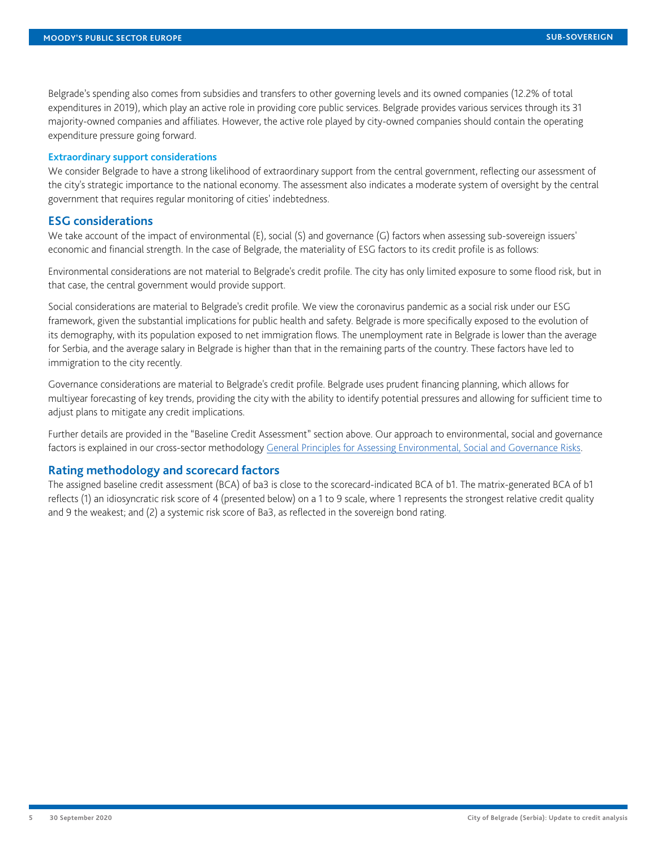Belgrade's spending also comes from subsidies and transfers to other governing levels and its owned companies (12.2% of total expenditures in 2019), which play an active role in providing core public services. Belgrade provides various services through its 31 majority-owned companies and affiliates. However, the active role played by city-owned companies should contain the operating expenditure pressure going forward.

#### **Extraordinary support considerations**

We consider Belgrade to have a strong likelihood of extraordinary support from the central government, reflecting our assessment of the city's strategic importance to the national economy. The assessment also indicates a moderate system of oversight by the central government that requires regular monitoring of cities' indebtedness.

# **ESG considerations**

We take account of the impact of environmental (E), social (S) and governance (G) factors when assessing sub-sovereign issuers' economic and financial strength. In the case of Belgrade, the materiality of ESG factors to its credit profile is as follows:

Environmental considerations are not material to Belgrade's credit profile. The city has only limited exposure to some flood risk, but in that case, the central government would provide support.

Social considerations are material to Belgrade's credit profile. We view the coronavirus pandemic as a social risk under our ESG framework, given the substantial implications for public health and safety. Belgrade is more specifically exposed to the evolution of its demography, with its population exposed to net immigration flows. The unemployment rate in Belgrade is lower than the average for Serbia, and the average salary in Belgrade is higher than that in the remaining parts of the country. These factors have led to immigration to the city recently.

Governance considerations are material to Belgrade's credit profile. Belgrade uses prudent financing planning, which allows for multiyear forecasting of key trends, providing the city with the ability to identify potential pressures and allowing for sufficient time to adjust plans to mitigate any credit implications.

Further details are provided in the "Baseline Credit Assessment" section above. Our approach to environmental, social and governance factors is explained in our cross-sector methodology [General Principles for Assessing Environmental, Social and Governance Risks](https://www.moodys.com/researchdocumentcontentpage.aspx?docid=PBC_1133569).

# **Rating methodology and scorecard factors**

The assigned baseline credit assessment (BCA) of ba3 is close to the scorecard-indicated BCA of b1. The matrix-generated BCA of b1 reflects (1) an idiosyncratic risk score of 4 (presented below) on a 1 to 9 scale, where 1 represents the strongest relative credit quality and 9 the weakest; and (2) a systemic risk score of Ba3, as reflected in the sovereign bond rating.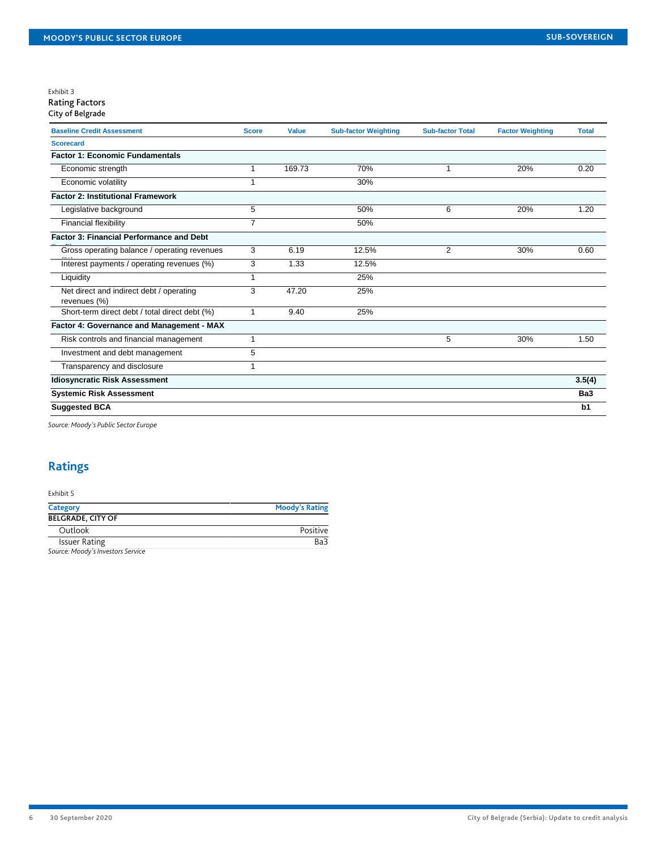#### Exhibit 3 Rating Factors

| <b>Baseline Credit Assessment</b>                        | <b>Score</b>   | <b>Value</b> | <b>Sub-factor Weighting</b> | <b>Sub-factor Total</b> | <b>Factor Weighting</b> | <b>Total</b> |
|----------------------------------------------------------|----------------|--------------|-----------------------------|-------------------------|-------------------------|--------------|
| <b>Scorecard</b>                                         |                |              |                             |                         |                         |              |
| <b>Factor 1: Economic Fundamentals</b>                   |                |              |                             |                         |                         |              |
| Economic strength                                        | 1              | 169.73       | 70%                         | 1                       | 20%                     | 0.20         |
| Economic volatility                                      |                |              | 30%                         |                         |                         |              |
| <b>Factor 2: Institutional Framework</b>                 |                |              |                             |                         |                         |              |
| Legislative background                                   | 5              |              | 50%                         | 6                       | 20%                     | 1.20         |
| Financial flexibility                                    | $\overline{7}$ |              | 50%                         |                         |                         |              |
| <b>Factor 3: Financial Performance and Debt</b>          |                |              |                             |                         |                         |              |
| Gross operating balance / operating revenues             | 3              | 6.19         | 12.5%                       | $\overline{2}$          | 30%                     | 0.60         |
| Interest payments / operating revenues (%)               | 3              | 1.33         | 12.5%                       |                         |                         |              |
| Liquidity                                                | 1              |              | 25%                         |                         |                         |              |
| Net direct and indirect debt / operating<br>revenues (%) | 3              | 47.20        | 25%                         |                         |                         |              |
| Short-term direct debt / total direct debt (%)           |                | 9.40         | 25%                         |                         |                         |              |
| Factor 4: Governance and Management - MAX                |                |              |                             |                         |                         |              |
| Risk controls and financial management                   |                |              |                             | 5                       | 30%                     | 1.50         |
| Investment and debt management                           | 5              |              |                             |                         |                         |              |
| Transparency and disclosure                              |                |              |                             |                         |                         |              |
| <b>Idiosyncratic Risk Assessment</b>                     |                |              |                             |                         |                         | 3.5(4)       |
| <b>Systemic Risk Assessment</b>                          |                |              |                             |                         |                         | Ba3          |
| <b>Suggested BCA</b>                                     |                |              |                             |                         |                         | b1           |
|                                                          |                |              |                             |                         |                         |              |

*Source: Moody's Public Sector Europe*

# <span id="page-5-0"></span>**Ratings**

# Exhibit 5

| Category                          | <b>Moody's Rating</b> |
|-----------------------------------|-----------------------|
| <b>BELGRADE, CITY OF</b>          |                       |
| Outlook                           | Positive              |
| <b>Issuer Rating</b>              | Ba3                   |
| Source: Moody's Investors Service |                       |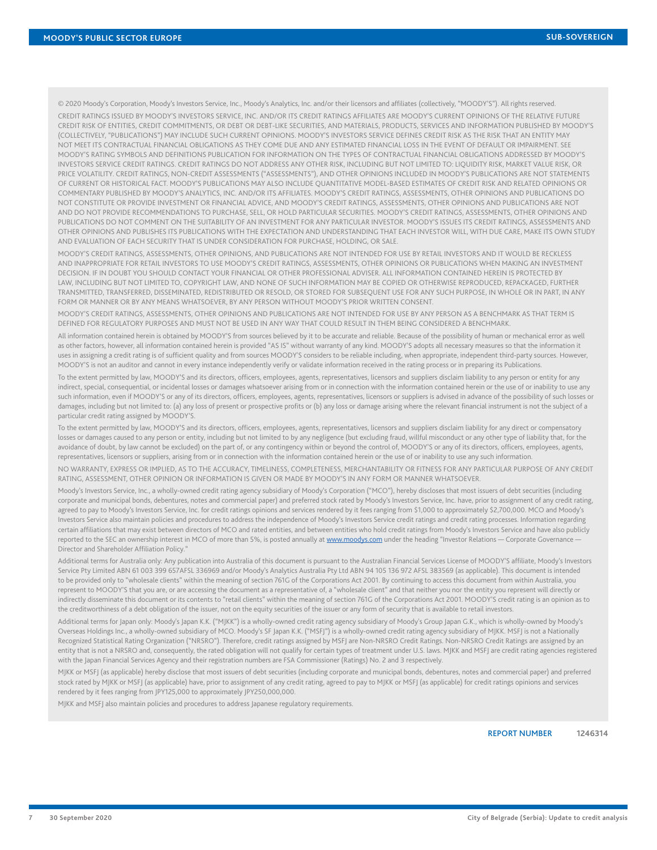© 2020 Moody's Corporation, Moody's Investors Service, Inc., Moody's Analytics, Inc. and/or their licensors and affiliates (collectively, "MOODY'S"). All rights reserved.

CREDIT RATINGS ISSUED BY MOODY'S INVESTORS SERVICE, INC. AND/OR ITS CREDIT RATINGS AFFILIATES ARE MOODY'S CURRENT OPINIONS OF THE RELATIVE FUTURE CREDIT RISK OF ENTITIES, CREDIT COMMITMENTS, OR DEBT OR DEBT-LIKE SECURITIES, AND MATERIALS, PRODUCTS, SERVICES AND INFORMATION PUBLISHED BY MOODY'S (COLLECTIVELY, "PUBLICATIONS") MAY INCLUDE SUCH CURRENT OPINIONS. MOODY'S INVESTORS SERVICE DEFINES CREDIT RISK AS THE RISK THAT AN ENTITY MAY NOT MEET ITS CONTRACTUAL FINANCIAL OBLIGATIONS AS THEY COME DUE AND ANY ESTIMATED FINANCIAL LOSS IN THE EVENT OF DEFAULT OR IMPAIRMENT. SEE MOODY'S RATING SYMBOLS AND DEFINITIONS PUBLICATION FOR INFORMATION ON THE TYPES OF CONTRACTUAL FINANCIAL OBLIGATIONS ADDRESSED BY MOODY'S INVESTORS SERVICE CREDIT RATINGS. CREDIT RATINGS DO NOT ADDRESS ANY OTHER RISK, INCLUDING BUT NOT LIMITED TO: LIQUIDITY RISK, MARKET VALUE RISK, OR PRICE VOLATILITY. CREDIT RATINGS, NON-CREDIT ASSESSMENTS ("ASSESSMENTS"), AND OTHER OPINIONS INCLUDED IN MOODY'S PUBLICATIONS ARE NOT STATEMENTS OF CURRENT OR HISTORICAL FACT. MOODY'S PUBLICATIONS MAY ALSO INCLUDE QUANTITATIVE MODEL-BASED ESTIMATES OF CREDIT RISK AND RELATED OPINIONS OR COMMENTARY PUBLISHED BY MOODY'S ANALYTICS, INC. AND/OR ITS AFFILIATES. MOODY'S CREDIT RATINGS, ASSESSMENTS, OTHER OPINIONS AND PUBLICATIONS DO NOT CONSTITUTE OR PROVIDE INVESTMENT OR FINANCIAL ADVICE, AND MOODY'S CREDIT RATINGS, ASSESSMENTS, OTHER OPINIONS AND PUBLICATIONS ARE NOT AND DO NOT PROVIDE RECOMMENDATIONS TO PURCHASE, SELL, OR HOLD PARTICULAR SECURITIES. MOODY'S CREDIT RATINGS, ASSESSMENTS, OTHER OPINIONS AND PUBLICATIONS DO NOT COMMENT ON THE SUITABILITY OF AN INVESTMENT FOR ANY PARTICULAR INVESTOR. MOODY'S ISSUES ITS CREDIT RATINGS, ASSESSMENTS AND OTHER OPINIONS AND PUBLISHES ITS PUBLICATIONS WITH THE EXPECTATION AND UNDERSTANDING THAT EACH INVESTOR WILL, WITH DUE CARE, MAKE ITS OWN STUDY AND EVALUATION OF EACH SECURITY THAT IS UNDER CONSIDERATION FOR PURCHASE, HOLDING, OR SALE.

MOODY'S CREDIT RATINGS, ASSESSMENTS, OTHER OPINIONS, AND PUBLICATIONS ARE NOT INTENDED FOR USE BY RETAIL INVESTORS AND IT WOULD BE RECKLESS AND INAPPROPRIATE FOR RETAIL INVESTORS TO USE MOODY'S CREDIT RATINGS, ASSESSMENTS, OTHER OPINIONS OR PUBLICATIONS WHEN MAKING AN INVESTMENT DECISION. IF IN DOUBT YOU SHOULD CONTACT YOUR FINANCIAL OR OTHER PROFESSIONAL ADVISER. ALL INFORMATION CONTAINED HEREIN IS PROTECTED BY LAW, INCLUDING BUT NOT LIMITED TO, COPYRIGHT LAW, AND NONE OF SUCH INFORMATION MAY BE COPIED OR OTHERWISE REPRODUCED, REPACKAGED, FURTHER TRANSMITTED, TRANSFERRED, DISSEMINATED, REDISTRIBUTED OR RESOLD, OR STORED FOR SUBSEQUENT USE FOR ANY SUCH PURPOSE, IN WHOLE OR IN PART, IN ANY FORM OR MANNER OR BY ANY MEANS WHATSOEVER, BY ANY PERSON WITHOUT MOODY'S PRIOR WRITTEN CONSENT.

MOODY'S CREDIT RATINGS, ASSESSMENTS, OTHER OPINIONS AND PUBLICATIONS ARE NOT INTENDED FOR USE BY ANY PERSON AS A BENCHMARK AS THAT TERM IS DEFINED FOR REGULATORY PURPOSES AND MUST NOT BE USED IN ANY WAY THAT COULD RESULT IN THEM BEING CONSIDERED A BENCHMARK.

All information contained herein is obtained by MOODY'S from sources believed by it to be accurate and reliable. Because of the possibility of human or mechanical error as well as other factors, however, all information contained herein is provided "AS IS" without warranty of any kind. MOODY'S adopts all necessary measures so that the information it uses in assigning a credit rating is of sufficient quality and from sources MOODY'S considers to be reliable including, when appropriate, independent third-party sources. However, MOODY'S is not an auditor and cannot in every instance independently verify or validate information received in the rating process or in preparing its Publications.

To the extent permitted by law, MOODY'S and its directors, officers, employees, agents, representatives, licensors and suppliers disclaim liability to any person or entity for any indirect, special, consequential, or incidental losses or damages whatsoever arising from or in connection with the information contained herein or the use of or inability to use any such information, even if MOODY'S or any of its directors, officers, employees, agents, representatives, licensors or suppliers is advised in advance of the possibility of such losses or damages, including but not limited to: (a) any loss of present or prospective profits or (b) any loss or damage arising where the relevant financial instrument is not the subject of a particular credit rating assigned by MOODY'S.

To the extent permitted by law, MOODY'S and its directors, officers, employees, agents, representatives, licensors and suppliers disclaim liability for any direct or compensatory losses or damages caused to any person or entity, including but not limited to by any negligence (but excluding fraud, willful misconduct or any other type of liability that, for the avoidance of doubt, by law cannot be excluded) on the part of, or any contingency within or beyond the control of, MOODY'S or any of its directors, officers, employees, agents, representatives, licensors or suppliers, arising from or in connection with the information contained herein or the use of or inability to use any such information.

NO WARRANTY, EXPRESS OR IMPLIED, AS TO THE ACCURACY, TIMELINESS, COMPLETENESS, MERCHANTABILITY OR FITNESS FOR ANY PARTICULAR PURPOSE OF ANY CREDIT RATING, ASSESSMENT, OTHER OPINION OR INFORMATION IS GIVEN OR MADE BY MOODY'S IN ANY FORM OR MANNER WHATSOEVER.

Moody's Investors Service, Inc., a wholly-owned credit rating agency subsidiary of Moody's Corporation ("MCO"), hereby discloses that most issuers of debt securities (including corporate and municipal bonds, debentures, notes and commercial paper) and preferred stock rated by Moody's Investors Service, Inc. have, prior to assignment of any credit rating, agreed to pay to Moody's Investors Service, Inc. for credit ratings opinions and services rendered by it fees ranging from \$1,000 to approximately \$2,700,000. MCO and Moody's Investors Service also maintain policies and procedures to address the independence of Moody's Investors Service credit ratings and credit rating processes. Information regarding certain affiliations that may exist between directors of MCO and rated entities, and between entities who hold credit ratings from Moody's Investors Service and have also publicly reported to the SEC an ownership interest in MCO of more than 5%, is posted annually at [www.moodys.com](http://www.moodys.com) under the heading "Investor Relations - Corporate Governance -Director and Shareholder Affiliation Policy."

Additional terms for Australia only: Any publication into Australia of this document is pursuant to the Australian Financial Services License of MOODY'S affiliate, Moody's Investors Service Pty Limited ABN 61 003 399 657AFSL 336969 and/or Moody's Analytics Australia Pty Ltd ABN 94 105 136 972 AFSL 383569 (as applicable). This document is intended to be provided only to "wholesale clients" within the meaning of section 761G of the Corporations Act 2001. By continuing to access this document from within Australia, you represent to MOODY'S that you are, or are accessing the document as a representative of, a "wholesale client" and that neither you nor the entity you represent will directly or indirectly disseminate this document or its contents to "retail clients" within the meaning of section 761G of the Corporations Act 2001. MOODY'S credit rating is an opinion as to the creditworthiness of a debt obligation of the issuer, not on the equity securities of the issuer or any form of security that is available to retail investors.

Additional terms for Japan only: Moody's Japan K.K. ("MJKK") is a wholly-owned credit rating agency subsidiary of Moody's Group Japan G.K., which is wholly-owned by Moody's Overseas Holdings Inc., a wholly-owned subsidiary of MCO. Moody's SF Japan K.K. ("MSFJ") is a wholly-owned credit rating agency subsidiary of MJKK. MSFJ is not a Nationally Recognized Statistical Rating Organization ("NRSRO"). Therefore, credit ratings assigned by MSFJ are Non-NRSRO Credit Ratings. Non-NRSRO Credit Ratings are assigned by an entity that is not a NRSRO and, consequently, the rated obligation will not qualify for certain types of treatment under U.S. laws. MJKK and MSFJ are credit rating agencies registered with the Japan Financial Services Agency and their registration numbers are FSA Commissioner (Ratings) No. 2 and 3 respectively.

MJKK or MSFJ (as applicable) hereby disclose that most issuers of debt securities (including corporate and municipal bonds, debentures, notes and commercial paper) and preferred stock rated by MJKK or MSFJ (as applicable) have, prior to assignment of any credit rating, agreed to pay to MJKK or MSFJ (as applicable) for credit ratings opinions and services rendered by it fees ranging from JPY125,000 to approximately JPY250,000,000.

MJKK and MSFJ also maintain policies and procedures to address Japanese regulatory requirements.

REPORT NUMBER **1246314**